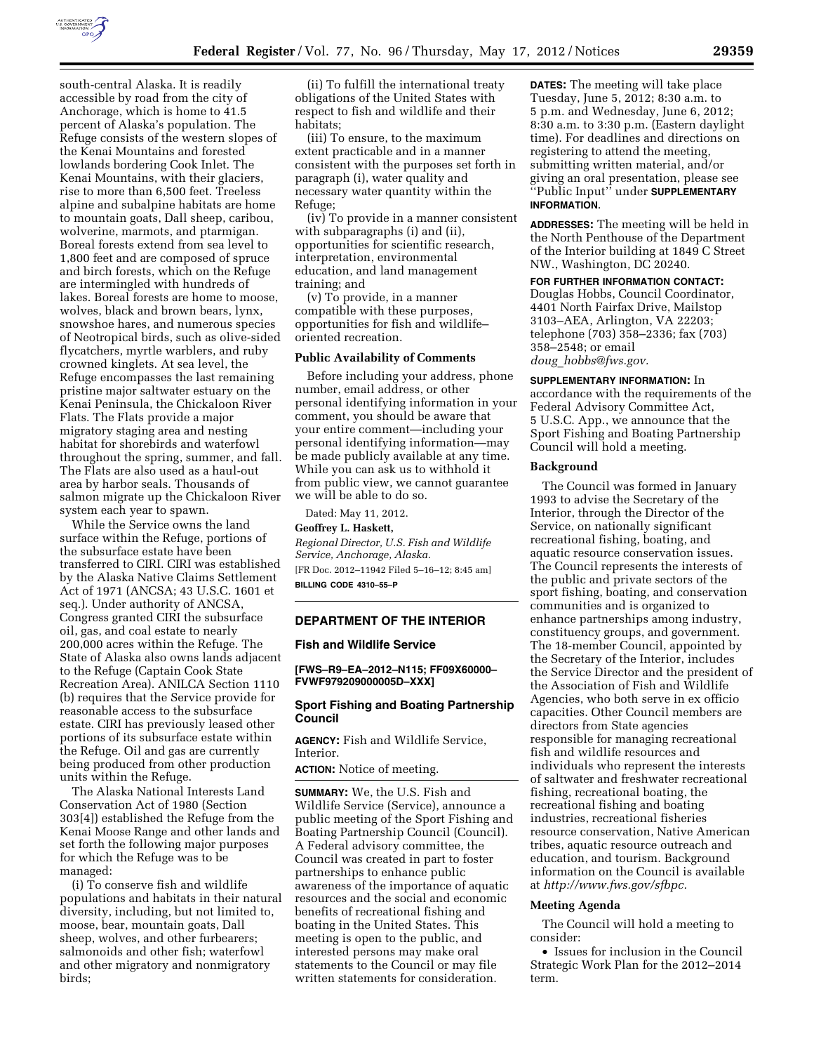

south-central Alaska. It is readily accessible by road from the city of Anchorage, which is home to 41.5 percent of Alaska's population. The Refuge consists of the western slopes of the Kenai Mountains and forested lowlands bordering Cook Inlet. The Kenai Mountains, with their glaciers, rise to more than 6,500 feet. Treeless alpine and subalpine habitats are home to mountain goats, Dall sheep, caribou, wolverine, marmots, and ptarmigan. Boreal forests extend from sea level to 1,800 feet and are composed of spruce and birch forests, which on the Refuge are intermingled with hundreds of lakes. Boreal forests are home to moose, wolves, black and brown bears, lynx, snowshoe hares, and numerous species of Neotropical birds, such as olive-sided flycatchers, myrtle warblers, and ruby crowned kinglets. At sea level, the Refuge encompasses the last remaining pristine major saltwater estuary on the Kenai Peninsula, the Chickaloon River Flats. The Flats provide a major migratory staging area and nesting habitat for shorebirds and waterfowl throughout the spring, summer, and fall. The Flats are also used as a haul-out area by harbor seals. Thousands of salmon migrate up the Chickaloon River system each year to spawn.

While the Service owns the land surface within the Refuge, portions of the subsurface estate have been transferred to CIRI. CIRI was established by the Alaska Native Claims Settlement Act of 1971 (ANCSA; 43 U.S.C. 1601 et seq.). Under authority of ANCSA, Congress granted CIRI the subsurface oil, gas, and coal estate to nearly 200,000 acres within the Refuge. The State of Alaska also owns lands adjacent to the Refuge (Captain Cook State Recreation Area). ANILCA Section 1110 (b) requires that the Service provide for reasonable access to the subsurface estate. CIRI has previously leased other portions of its subsurface estate within the Refuge. Oil and gas are currently being produced from other production units within the Refuge.

The Alaska National Interests Land Conservation Act of 1980 (Section 303[4]) established the Refuge from the Kenai Moose Range and other lands and set forth the following major purposes for which the Refuge was to be managed:

(i) To conserve fish and wildlife populations and habitats in their natural diversity, including, but not limited to, moose, bear, mountain goats, Dall sheep, wolves, and other furbearers; salmonoids and other fish; waterfowl and other migratory and nonmigratory birds;

(ii) To fulfill the international treaty obligations of the United States with respect to fish and wildlife and their habitats;

(iii) To ensure, to the maximum extent practicable and in a manner consistent with the purposes set forth in paragraph (i), water quality and necessary water quantity within the Refuge;

(iv) To provide in a manner consistent with subparagraphs (i) and (ii), opportunities for scientific research, interpretation, environmental education, and land management training; and

(v) To provide, in a manner compatible with these purposes, opportunities for fish and wildlife– oriented recreation.

# **Public Availability of Comments**

Before including your address, phone number, email address, or other personal identifying information in your comment, you should be aware that your entire comment—including your personal identifying information—may be made publicly available at any time. While you can ask us to withhold it from public view, we cannot guarantee we will be able to do so.

Dated: May 11, 2012.

**Geoffrey L. Haskett,** 

*Regional Director, U.S. Fish and Wildlife Service, Anchorage, Alaska.*  [FR Doc. 2012–11942 Filed 5–16–12; 8:45 am] **BILLING CODE 4310–55–P** 

### **DEPARTMENT OF THE INTERIOR**

#### **Fish and Wildlife Service**

**[FWS–R9–EA–2012–N115; FF09X60000– FVWF979209000005D–XXX]** 

# **Sport Fishing and Boating Partnership Council**

**AGENCY:** Fish and Wildlife Service, Interior.

**ACTION:** Notice of meeting.

**SUMMARY:** We, the U.S. Fish and Wildlife Service (Service), announce a public meeting of the Sport Fishing and Boating Partnership Council (Council). A Federal advisory committee, the Council was created in part to foster partnerships to enhance public awareness of the importance of aquatic resources and the social and economic benefits of recreational fishing and boating in the United States. This meeting is open to the public, and interested persons may make oral statements to the Council or may file written statements for consideration.

**DATES:** The meeting will take place Tuesday, June 5, 2012; 8:30 a.m. to 5 p.m. and Wednesday, June 6, 2012; 8:30 a.m. to 3:30 p.m. (Eastern daylight time). For deadlines and directions on registering to attend the meeting, submitting written material, and/or giving an oral presentation, please see ''Public Input'' under **SUPPLEMENTARY INFORMATION**.

**ADDRESSES:** The meeting will be held in the North Penthouse of the Department of the Interior building at 1849 C Street NW., Washington, DC 20240.

**FOR FURTHER INFORMATION CONTACT:**  Douglas Hobbs, Council Coordinator, 4401 North Fairfax Drive, Mailstop 3103–AEA, Arlington, VA 22203; telephone (703) 358–2336; fax (703) 358–2548; or email *doug*\_*[hobbs@fws.gov.](mailto:doug_hobbs@fws.gov)* 

**SUPPLEMENTARY INFORMATION:** In

accordance with the requirements of the Federal Advisory Committee Act, 5 U.S.C. App., we announce that the Sport Fishing and Boating Partnership Council will hold a meeting.

### **Background**

The Council was formed in January 1993 to advise the Secretary of the Interior, through the Director of the Service, on nationally significant recreational fishing, boating, and aquatic resource conservation issues. The Council represents the interests of the public and private sectors of the sport fishing, boating, and conservation communities and is organized to enhance partnerships among industry, constituency groups, and government. The 18-member Council, appointed by the Secretary of the Interior, includes the Service Director and the president of the Association of Fish and Wildlife Agencies, who both serve in ex officio capacities. Other Council members are directors from State agencies responsible for managing recreational fish and wildlife resources and individuals who represent the interests of saltwater and freshwater recreational fishing, recreational boating, the recreational fishing and boating industries, recreational fisheries resource conservation, Native American tribes, aquatic resource outreach and education, and tourism. Background information on the Council is available at *[http://www.fws.gov/sfbpc.](http://www.fws.gov/sfbpc)* 

### **Meeting Agenda**

The Council will hold a meeting to consider:

• Issues for inclusion in the Council Strategic Work Plan for the 2012–2014 term.